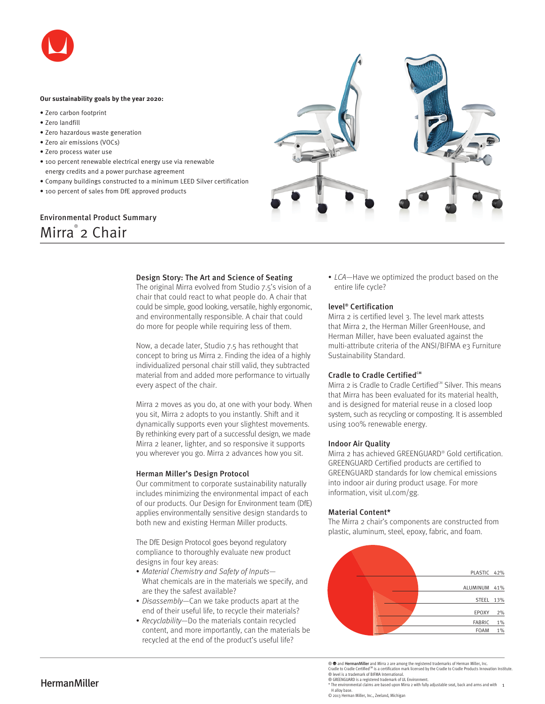

#### **Our sustainability goals by the year 2020:**

- Zero carbon footprint
- Zero landfill
- Zero hazardous waste generation
- Zero air emissions (VOCs)
- Zero process water use
- 100 percent renewable electrical energy use via renewable energy credits and a power purchase agreement
- Company buildings constructed to a minimum LEED Silver certification
- 100 percent of sales from DfE approved products

# Environmental Product Summary Mirra® 2 Chair



# Design Story: The Art and Science of Seating

The original Mirra evolved from Studio 7.5's vision of a chair that could react to what people do. A chair that could be simple, good looking, versatile, highly ergonomic, and environmentally responsible. A chair that could do more for people while requiring less of them.

Now, a decade later, Studio 7.5 has rethought that concept to bring us Mirra 2. Finding the idea of a highly individualized personal chair still valid, they subtracted material from and added more performance to virtually every aspect of the chair.

Mirra 2 moves as you do, at one with your body. When you sit, Mirra 2 adopts to you instantly. Shift and it dynamically supports even your slightest movements. By rethinking every part of a successful design, we made Mirra 2 leaner, lighter, and so responsive it supports you wherever you go. Mirra 2 advances how you sit.

#### Herman Miller's Design Protocol

Our commitment to corporate sustainability naturally includes minimizing the environmental impact of each of our products. Our Design for Environment team (DfE) applies environmentally sensitive design standards to both new and existing Herman Miller products.

The DfE Design Protocol goes beyond regulatory compliance to thoroughly evaluate new product designs in four key areas:

- Material Chemistry and Safety of Inputs— What chemicals are in the materials we specify, and are they the safest available?
- Disassembly—Can we take products apart at the end of their useful life, to recycle their materials?
- Recyclability—Do the materials contain recycled content, and more importantly, can the materials be recycled at the end of the product's useful life?

• LCA—Have we optimized the product based on the entire life cycle?

## level® Certification

Mirra 2 is certified level 3. The level mark attests that Mirra 2, the Herman Miller GreenHouse, and Herman Miller, have been evaluated against the multi-attribute criteria of the ANSI/BIFMA e3 Furniture Sustainability Standard.

#### Cradle to Cradle Certified<sup>CM</sup>

Mirra 2 is Cradle to Cradle Certified<sup>™</sup> Silver. This means that Mirra has been evaluated for its material health, and is designed for material reuse in a closed loop system, such as recycling or composting. It is assembled using 100% renewable energy.

#### Indoor Air Quality

Mirra 2 has achieved GREENGUARD® Gold certification. GREENGUARD Certified products are certified to GREENGUARD standards for low chemical emissions into indoor air during product usage. For more information, visit ul.com/gg.

#### Material Content\*

The Mirra 2 chair's components are constructed from plastic, aluminum, steel, epoxy, fabric, and foam.



® **®** and **HermanMiller** and Mirra 2 are among the registered trademarks of Herman Miller, Inc.<br>Cradle to Cradle Certified<sup>CM</sup> is a certification mark licensed by the Cradle to Cradle Products Innovation Institute.

- ® level is a trademark of BIFMA International.
- 

 $\mathsf{Hermann}^{\mathsf{S}}$   $\mathsf{S}$  and  $\mathsf{S}^{\mathsf{R}}$  and  $\mathsf{S}^{\mathsf{R}}$  are discuss a registered trademark of UL Environment.<br> $\mathsf{R}^{\mathsf{S}}$  are environmental claims are based upon Mirra 2 with fully adjustable seat, back and H alloy base.

© 2013 Herman Miller, Inc., Zeeland, Michigan